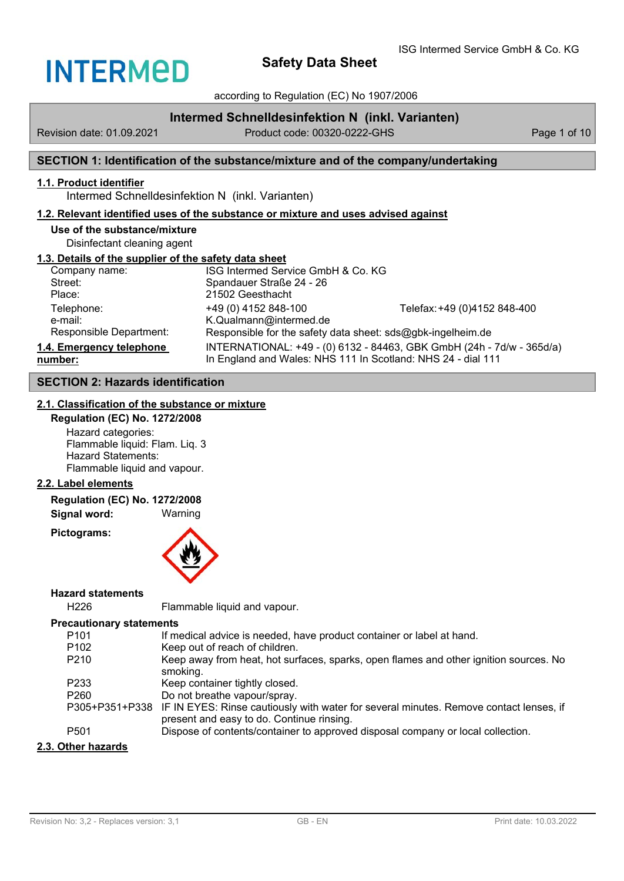

according to Regulation (EC) No 1907/2006

## **Intermed Schnelldesinfektion N (inkl. Varianten)**

Revision date: 01.09.2021 Product code: 00320-0222-GHS Page 1 of 10

## **SECTION 1: Identification of the substance/mixture and of the company/undertaking**

## **1.1. Product identifier**

Intermed Schnelldesinfektion N (inkl. Varianten)

#### **1.2. Relevant identified uses of the substance or mixture and uses advised against**

#### **Use of the substance/mixture** Disinfectant cleaning agent

#### **1.3. Details of the supplier of the safety data sheet**

| Company name:            | ISG Intermed Service GmbH & Co. KG                                    |                              |  |
|--------------------------|-----------------------------------------------------------------------|------------------------------|--|
| Street:                  | Spandauer Straße 24 - 26                                              |                              |  |
| Place:                   | 21502 Geesthacht                                                      |                              |  |
| Telephone:               | +49 (0) 4152 848-100                                                  | Telefax: +49 (0)4152 848-400 |  |
| e-mail:                  | K.Qualmann@intermed.de                                                |                              |  |
| Responsible Department:  | Responsible for the safety data sheet: sds@gbk-ingelheim.de           |                              |  |
| 1.4. Emergency telephone | INTERNATIONAL: +49 - (0) 6132 - 84463, GBK GmbH (24h - 7d/w - 365d/a) |                              |  |
| number:                  | In England and Wales: NHS 111 In Scotland: NHS 24 - dial 111          |                              |  |
|                          |                                                                       |                              |  |

## **SECTION 2: Hazards identification**

## **2.1. Classification of the substance or mixture**

**Regulation (EC) No. 1272/2008** Hazard categories: Flammable liquid: Flam. Liq. 3 Hazard Statements: Flammable liquid and vapour.

### **2.2. Label elements**

#### **Regulation (EC) No. 1272/2008**

**Signal word:** Warning

**Pictograms:**



#### **Hazard statements**

H226 Flammable liquid and vapour.

### **Precautionary statements**

| P <sub>101</sub>   | If medical advice is needed, have product container or label at hand.                                                                              |
|--------------------|----------------------------------------------------------------------------------------------------------------------------------------------------|
| P <sub>102</sub>   | Keep out of reach of children.                                                                                                                     |
| P <sub>210</sub>   | Keep away from heat, hot surfaces, sparks, open flames and other ignition sources. No<br>smoking.                                                  |
| P233               | Keep container tightly closed.                                                                                                                     |
| P <sub>260</sub>   | Do not breathe vapour/spray.                                                                                                                       |
|                    | P305+P351+P338 IF IN EYES: Rinse cautiously with water for several minutes. Remove contact lenses, if<br>present and easy to do. Continue rinsing. |
| P <sub>501</sub>   | Dispose of contents/container to approved disposal company or local collection.                                                                    |
| 2.3. Other hazards |                                                                                                                                                    |

#### Revision No: 3,2 - Replaces version: 3,1 GB - EN Print date: 10.03.2022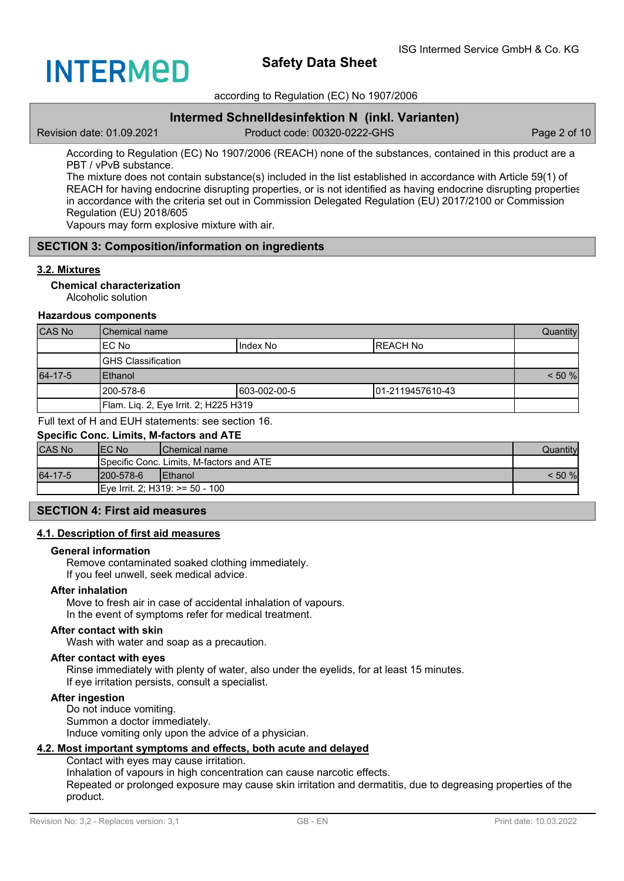

according to Regulation (EC) No 1907/2006

## **Intermed Schnelldesinfektion N (inkl. Varianten)**

Revision date: 01.09.2021 Product code: 00320-0222-GHS Page 2 of 10

According to Regulation (EC) No 1907/2006 (REACH) none of the substances, contained in this product are a PBT / vPvB substance.

The mixture does not contain substance(s) included in the list established in accordance with Article 59(1) of REACH for having endocrine disrupting properties, or is not identified as having endocrine disrupting properties in accordance with the criteria set out in Commission Delegated Regulation (EU) 2017/2100 or Commission Regulation (EU) 2018/605

Vapours may form explosive mixture with air.

#### **SECTION 3: Composition/information on ingredients**

#### **3.2. Mixtures**

#### **Chemical characterization**

Alcoholic solution

#### **Hazardous components**

| CAS No  | IChemical name                        |               |                   | Quantity |
|---------|---------------------------------------|---------------|-------------------|----------|
|         | IEC No                                | IIndex No     | IREACH No         |          |
|         | IGHS Classification                   |               |                   |          |
| 64-17-5 | <b>IEthanol</b>                       |               | $< 50 \%$         |          |
|         | l200-578-6                            | 1603-002-00-5 | 101-2119457610-43 |          |
|         | Flam. Liq. 2, Eye Irrit. 2; H225 H319 |               |                   |          |

Full text of H and EUH statements: see section 16.

#### **Specific Conc. Limits, M-factors and ATE**

| <b>CAS No</b> | IEC No     | <b>IChemical name</b>                    | Quantitvl |
|---------------|------------|------------------------------------------|-----------|
|               |            | Specific Conc. Limits, M-factors and ATE |           |
| 64-17-5       | 1200-578-6 | <b>IEthanol</b>                          | $<$ 50 %  |
|               |            | IEve Irrit. 2: H319: >= 50 - 100         |           |

#### **SECTION 4: First aid measures**

#### **4.1. Description of first aid measures**

#### **General information**

Remove contaminated soaked clothing immediately. If you feel unwell, seek medical advice.

#### **After inhalation**

Move to fresh air in case of accidental inhalation of vapours. In the event of symptoms refer for medical treatment.

#### **After contact with skin**

Wash with water and soap as a precaution.

#### **After contact with eyes**

Rinse immediately with plenty of water, also under the eyelids, for at least 15 minutes. If eye irritation persists, consult a specialist.

## **After ingestion**

Do not induce vomiting. Summon a doctor immediately. Induce vomiting only upon the advice of a physician.

#### **4.2. Most important symptoms and effects, both acute and delayed**

Contact with eyes may cause irritation. Inhalation of vapours in high concentration can cause narcotic effects. Repeated or prolonged exposure may cause skin irritation and dermatitis, due to degreasing properties of the product.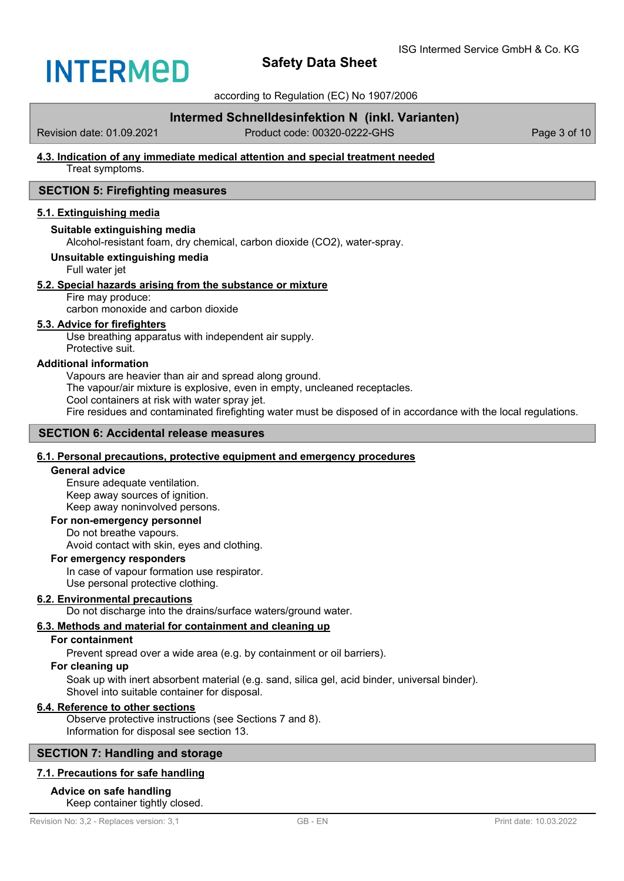

according to Regulation (EC) No 1907/2006

## **Intermed Schnelldesinfektion N (inkl. Varianten)**

Revision date: 01.09.2021 Product code: 00320-0222-GHS Page 3 of 10

# **4.3. Indication of any immediate medical attention and special treatment needed**

Treat symptoms.

## **SECTION 5: Firefighting measures**

#### **5.1. Extinguishing media**

#### **Suitable extinguishing media**

Alcohol-resistant foam, dry chemical, carbon dioxide (CO2), water-spray.

#### **Unsuitable extinguishing media**

Full water jet

#### **5.2. Special hazards arising from the substance or mixture**

### Fire may produce:

carbon monoxide and carbon dioxide

#### **5.3. Advice for firefighters**

Use breathing apparatus with independent air supply. Protective suit.

#### **Additional information**

Vapours are heavier than air and spread along ground.

The vapour/air mixture is explosive, even in empty, uncleaned receptacles.

Cool containers at risk with water spray jet.

Fire residues and contaminated firefighting water must be disposed of in accordance with the local regulations.

#### **SECTION 6: Accidental release measures**

#### **6.1. Personal precautions, protective equipment and emergency procedures**

#### **General advice**

Ensure adequate ventilation. Keep away sources of ignition. Keep away noninvolved persons.

#### **For non-emergency personnel**

Do not breathe vapours. Avoid contact with skin, eyes and clothing.

#### **For emergency responders**

In case of vapour formation use respirator. Use personal protective clothing.

#### **6.2. Environmental precautions**

Do not discharge into the drains/surface waters/ground water.

## **6.3. Methods and material for containment and cleaning up**

### **For containment**

Prevent spread over a wide area (e.g. by containment or oil barriers).

## **For cleaning up**

Soak up with inert absorbent material (e.g. sand, silica gel, acid binder, universal binder). Shovel into suitable container for disposal.

## **6.4. Reference to other sections**

Observe protective instructions (see Sections 7 and 8). Information for disposal see section 13.

## **SECTION 7: Handling and storage**

## **7.1. Precautions for safe handling**

## **Advice on safe handling**

Keep container tightly closed.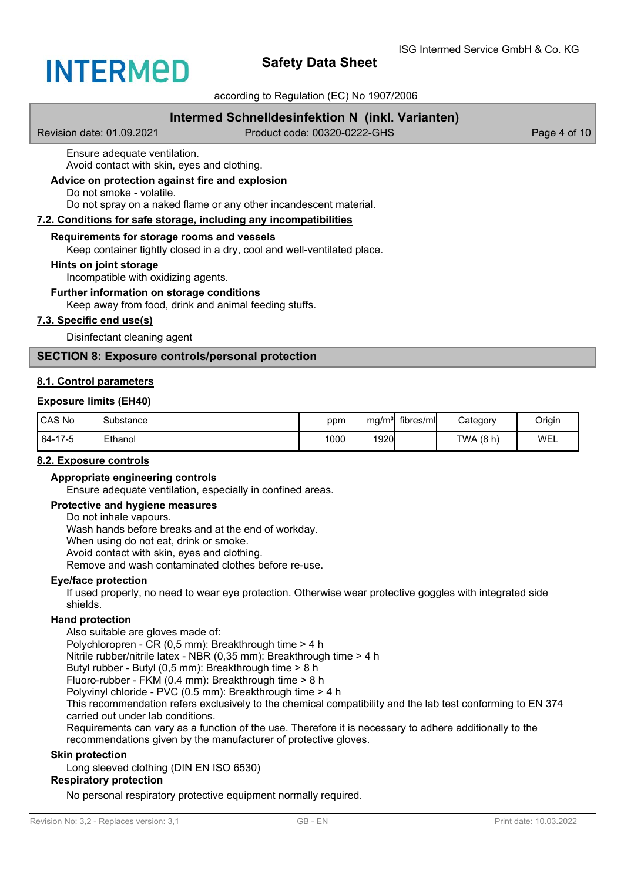

according to Regulation (EC) No 1907/2006

## **Intermed Schnelldesinfektion N (inkl. Varianten)**

Revision date: 01.09.2021 Product code: 00320-0222-GHS Page 4 of 10

Ensure adequate ventilation.

Avoid contact with skin, eyes and clothing.

**Advice on protection against fire and explosion**

Do not smoke - volatile.

Do not spray on a naked flame or any other incandescent material.

#### **7.2. Conditions for safe storage, including any incompatibilities**

#### **Requirements for storage rooms and vessels**

Keep container tightly closed in a dry, cool and well-ventilated place.

#### **Hints on joint storage**

Incompatible with oxidizing agents.

## **Further information on storage conditions**

Keep away from food, drink and animal feeding stuffs.

#### **7.3. Specific end use(s)**

Disinfectant cleaning agent

### **SECTION 8: Exposure controls/personal protection**

#### **8.1. Control parameters**

#### **Exposure limits (EH40)**

| <b>CAS No</b> | Substance | ppm <sub>1</sub> |      | mg/m <sup>3</sup> fibres/ml | Category  | Origin |
|---------------|-----------|------------------|------|-----------------------------|-----------|--------|
| 64-17-5       | Ethanol   | 1000             | 1920 |                             | TWA (8 h) | WEL    |

#### **8.2. Exposure controls**

#### **Appropriate engineering controls**

Ensure adequate ventilation, especially in confined areas.

### **Protective and hygiene measures**

Do not inhale vapours. Wash hands before breaks and at the end of workday. When using do not eat, drink or smoke. Avoid contact with skin, eyes and clothing. Remove and wash contaminated clothes before re-use.

#### **Eye/face protection**

If used properly, no need to wear eye protection. Otherwise wear protective goggles with integrated side shields.

#### **Hand protection**

Also suitable are gloves made of:

Polychloropren - CR (0,5 mm): Breakthrough time > 4 h

Nitrile rubber/nitrile latex - NBR (0,35 mm): Breakthrough time > 4 h

Butyl rubber - Butyl (0,5 mm): Breakthrough time > 8 h

Fluoro-rubber - FKM (0.4 mm): Breakthrough time > 8 h

Polyvinyl chloride - PVC (0.5 mm): Breakthrough time > 4 h

This recommendation refers exclusively to the chemical compatibility and the lab test conforming to EN 374 carried out under lab conditions.

Requirements can vary as a function of the use. Therefore it is necessary to adhere additionally to the recommendations given by the manufacturer of protective gloves.

#### **Skin protection**

Long sleeved clothing (DIN EN ISO 6530)

#### **Respiratory protection**

No personal respiratory protective equipment normally required.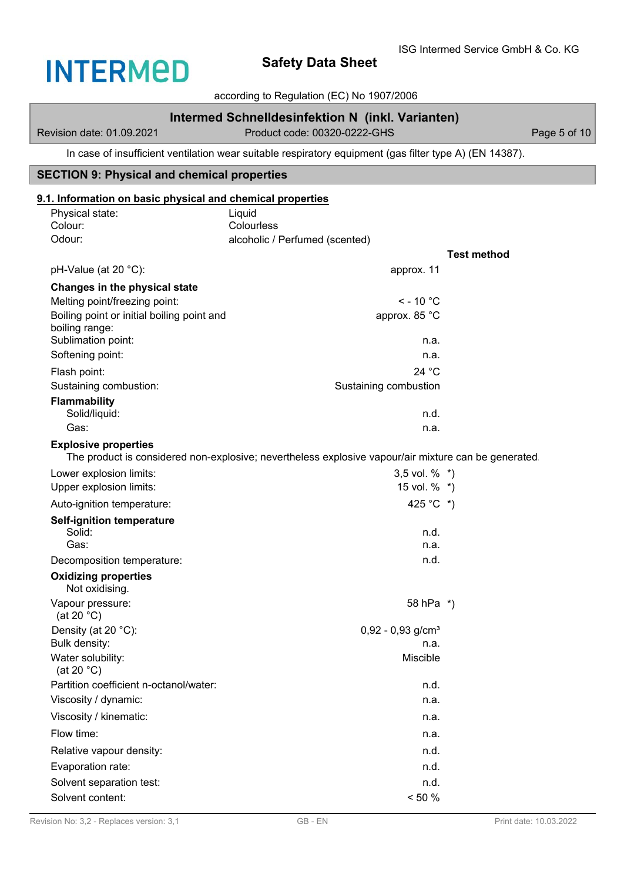according to Regulation (EC) No 1907/2006

## **Intermed Schnelldesinfektion N (inkl. Varianten)**

Revision date: 01.09.2021 Product code: 00320-0222-GHS Page 5 of 10

In case of insufficient ventilation wear suitable respiratory equipment (gas filter type A) (EN 14387).

## **SECTION 9: Physical and chemical properties**

## **9.1. Information on basic physical and chemical properties**

| Physical state:<br>Colour:                 | Liquid<br>Colourless                                                                                 |                    |
|--------------------------------------------|------------------------------------------------------------------------------------------------------|--------------------|
| Odour:                                     | alcoholic / Perfumed (scented)                                                                       |                    |
|                                            |                                                                                                      | <b>Test method</b> |
| pH-Value (at 20 °C):                       | approx. 11                                                                                           |                    |
| Changes in the physical state              |                                                                                                      |                    |
| Melting point/freezing point:              | $<$ - 10 $^{\circ}$ C                                                                                |                    |
| Boiling point or initial boiling point and | approx. 85 °C                                                                                        |                    |
| boiling range:<br>Sublimation point:       | n.a.                                                                                                 |                    |
| Softening point:                           | n.a.                                                                                                 |                    |
| Flash point:                               | 24 °C                                                                                                |                    |
| Sustaining combustion:                     | Sustaining combustion                                                                                |                    |
| <b>Flammability</b>                        |                                                                                                      |                    |
| Solid/liquid:                              | n.d.                                                                                                 |                    |
| Gas:                                       | n.a.                                                                                                 |                    |
| <b>Explosive properties</b>                |                                                                                                      |                    |
|                                            | The product is considered non-explosive; nevertheless explosive vapour/air mixture can be generated. |                    |
| Lower explosion limits:                    | 3,5 vol. $%$ *)                                                                                      |                    |
| Upper explosion limits:                    | 15 vol. % *)                                                                                         |                    |
| Auto-ignition temperature:                 | 425 °C *)                                                                                            |                    |
| <b>Self-ignition temperature</b><br>Solid: | n.d.                                                                                                 |                    |
| Gas:                                       | n.a.                                                                                                 |                    |
| Decomposition temperature:                 | n.d.                                                                                                 |                    |
| <b>Oxidizing properties</b>                |                                                                                                      |                    |
| Not oxidising.                             |                                                                                                      |                    |
| Vapour pressure:<br>(at 20 $°C$ )          | 58 hPa *)                                                                                            |                    |
| Density (at 20 °C):                        | $0,92 - 0,93$ g/cm <sup>3</sup>                                                                      |                    |
| Bulk density:                              | n.a.                                                                                                 |                    |
| Water solubility:<br>(at 20 $^{\circ}$ C)  | Miscible                                                                                             |                    |
| Partition coefficient n-octanol/water:     | n.d.                                                                                                 |                    |
| Viscosity / dynamic:                       | n.a.                                                                                                 |                    |
| Viscosity / kinematic:                     | n.a.                                                                                                 |                    |
| Flow time:                                 | n.a.                                                                                                 |                    |
| Relative vapour density:                   | n.d.                                                                                                 |                    |
| Evaporation rate:                          | n.d.                                                                                                 |                    |
| Solvent separation test:                   | n.d.                                                                                                 |                    |
| Solvent content:                           | $< 50 \%$                                                                                            |                    |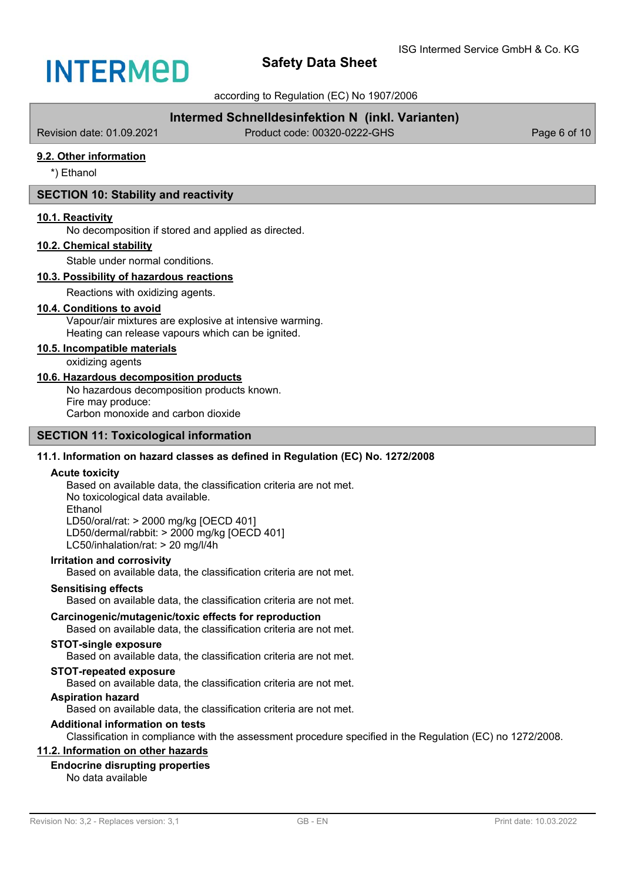according to Regulation (EC) No 1907/2006

## **Intermed Schnelldesinfektion N (inkl. Varianten)**

Revision date: 01.09.2021 Product code: 00320-0222-GHS Page 6 of 10

## **9.2. Other information**

\*) Ethanol

## **SECTION 10: Stability and reactivity**

#### **10.1. Reactivity**

No decomposition if stored and applied as directed.

#### **10.2. Chemical stability**

Stable under normal conditions.

#### **10.3. Possibility of hazardous reactions**

Reactions with oxidizing agents.

#### **10.4. Conditions to avoid**

Vapour/air mixtures are explosive at intensive warming. Heating can release vapours which can be ignited.

## **10.5. Incompatible materials**

oxidizing agents

#### **10.6. Hazardous decomposition products**

No hazardous decomposition products known.

Fire may produce: Carbon monoxide and carbon dioxide

**SECTION 11: Toxicological information**

# **11.1. Information on hazard classes as defined in Regulation (EC) No. 1272/2008**

#### **Acute toxicity**

Based on available data, the classification criteria are not met. No toxicological data available. Ethanol LD50/oral/rat: > 2000 mg/kg [OECD 401] LD50/dermal/rabbit: > 2000 mg/kg [OECD 401] LC50/inhalation/rat: > 20 mg/l/4h

#### **Irritation and corrosivity**

Based on available data, the classification criteria are not met.

#### **Sensitising effects**

Based on available data, the classification criteria are not met.

### **Carcinogenic/mutagenic/toxic effects for reproduction**

Based on available data, the classification criteria are not met.

### **STOT-single exposure**

Based on available data, the classification criteria are not met.

## **STOT-repeated exposure**

Based on available data, the classification criteria are not met.

## **Aspiration hazard**

Based on available data, the classification criteria are not met.

## **Additional information on tests**

Classification in compliance with the assessment procedure specified in the Regulation (EC) no 1272/2008.

## **11.2. Information on other hazards**

# **Endocrine disrupting properties**

No data available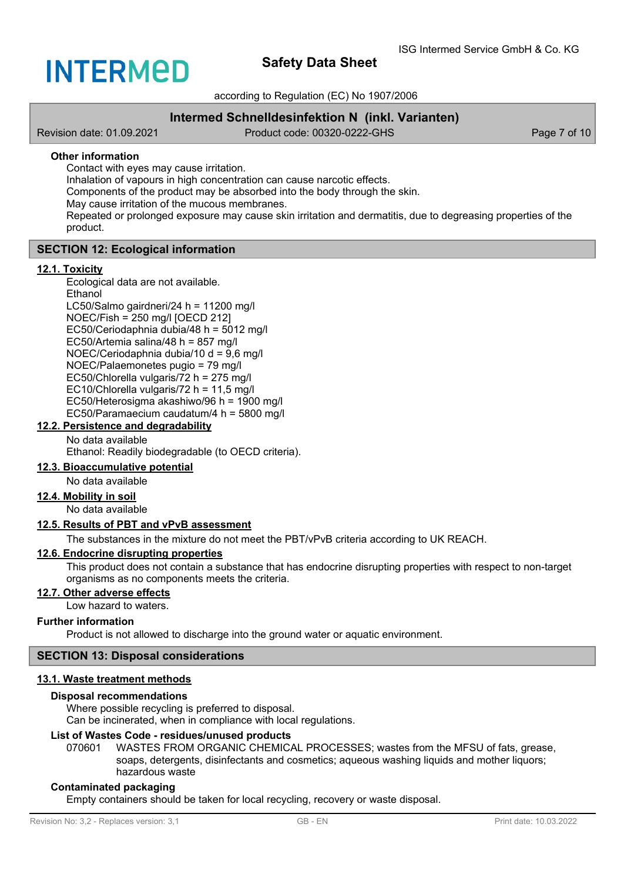

according to Regulation (EC) No 1907/2006

## **Intermed Schnelldesinfektion N (inkl. Varianten)**

Revision date: 01.09.2021 Product code: 00320-0222-GHS Page 7 of 10

#### **Other information**

Contact with eyes may cause irritation.

Inhalation of vapours in high concentration can cause narcotic effects.

Components of the product may be absorbed into the body through the skin.

May cause irritation of the mucous membranes.

Repeated or prolonged exposure may cause skin irritation and dermatitis, due to degreasing properties of the product.

## **SECTION 12: Ecological information**

#### **12.1. Toxicity**

Ecological data are not available.

Ethanol LC50/Salmo gairdneri/24 h = 11200 mg/l NOEC/Fish = 250 mg/l [OECD 212] EC50/Ceriodaphnia dubia/48 h = 5012 mg/l EC50/Artemia salina/48 h =  $857$  mg/l NOEC/Ceriodaphnia dubia/10 d = 9,6 mg/l NOEC/Palaemonetes pugio = 79 mg/l EC50/Chlorella vulgaris/72 h = 275 mg/l EC10/Chlorella vulgaris/72 h = 11,5 mg/l EC50/Heterosigma akashiwo/96 h = 1900 mg/l EC50/Paramaecium caudatum/4 h = 5800 mg/l

### **12.2. Persistence and degradability**

No data available

Ethanol: Readily biodegradable (to OECD criteria).

## **12.3. Bioaccumulative potential**

No data available

### **12.4. Mobility in soil**

No data available

## **12.5. Results of PBT and vPvB assessment**

The substances in the mixture do not meet the PBT/vPvB criteria according to UK REACH.

## **12.6. Endocrine disrupting properties**

This product does not contain a substance that has endocrine disrupting properties with respect to non-target organisms as no components meets the criteria.

### **12.7. Other adverse effects**

Low hazard to waters.

#### **Further information**

Product is not allowed to discharge into the ground water or aquatic environment.

### **SECTION 13: Disposal considerations**

## **13.1. Waste treatment methods**

#### **Disposal recommendations**

Where possible recycling is preferred to disposal.

Can be incinerated, when in compliance with local regulations.

## **List of Wastes Code - residues/unused products**

070601 WASTES FROM ORGANIC CHEMICAL PROCESSES; wastes from the MFSU of fats, grease, soaps, detergents, disinfectants and cosmetics; aqueous washing liquids and mother liquors; hazardous waste

#### **Contaminated packaging**

Empty containers should be taken for local recycling, recovery or waste disposal.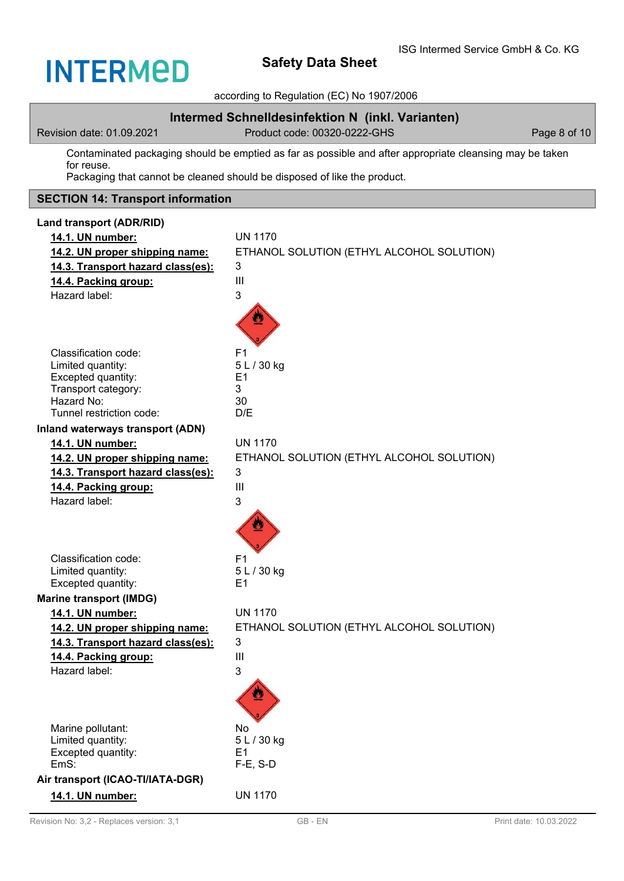# **INTERMED**

# **Safety Data Sheet**

according to Regulation (EC) No 1907/2006

## **Intermed Schnelldesinfektion N (inkl. Varianten)**

Revision date: 01.09.2021 Product code: 00320-0222-GHS Page 8 of 10

Contaminated packaging should be emptied as far as possible and after appropriate cleansing may be taken for reuse.

Packaging that cannot be cleaned should be disposed of like the product.

## **SECTION 14: Transport information**

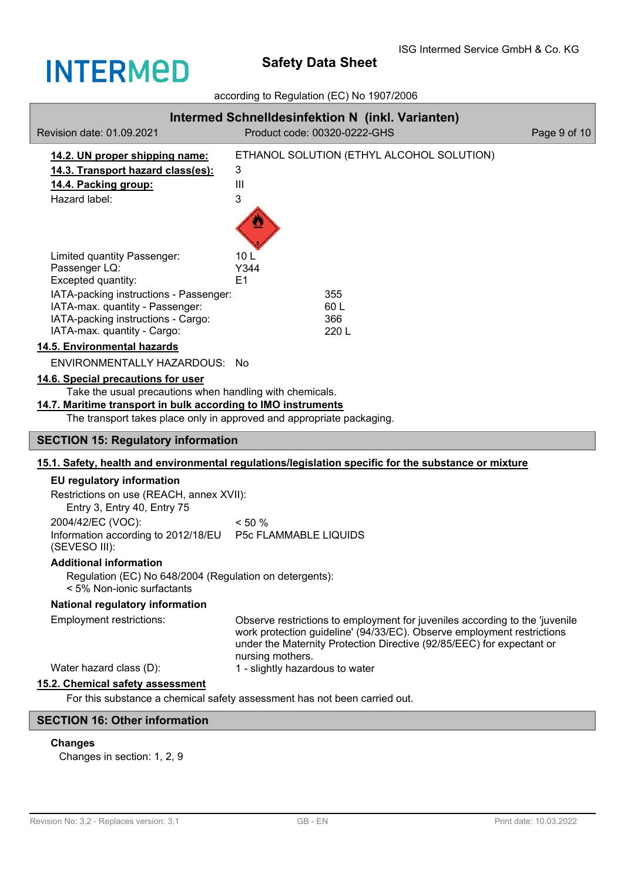

## according to Regulation (EC) No 1907/2006

| Revision date: 01.09.2021                                                                                                                                                                                                                | Intermed Schnelldesinfektion N (inkl. Varianten)<br>Product code: 00320-0222-GHS                                                                                                                                                                   | Page 9 of 10 |  |  |
|------------------------------------------------------------------------------------------------------------------------------------------------------------------------------------------------------------------------------------------|----------------------------------------------------------------------------------------------------------------------------------------------------------------------------------------------------------------------------------------------------|--------------|--|--|
| 14.2. UN proper shipping name:<br>14.3. Transport hazard class(es):<br>14.4. Packing group:<br>Hazard label:                                                                                                                             | ETHANOL SOLUTION (ETHYL ALCOHOL SOLUTION)<br>3<br>III<br>3                                                                                                                                                                                         |              |  |  |
| Limited quantity Passenger:<br>Passenger LQ:<br>Excepted quantity:<br>IATA-packing instructions - Passenger:                                                                                                                             | 10 <sub>L</sub><br>Y344<br>E1<br>355                                                                                                                                                                                                               |              |  |  |
| IATA-max. quantity - Passenger:<br>IATA-packing instructions - Cargo:<br>IATA-max. quantity - Cargo:                                                                                                                                     | 60 L<br>366<br>220L                                                                                                                                                                                                                                |              |  |  |
| 14.5. Environmental hazards                                                                                                                                                                                                              |                                                                                                                                                                                                                                                    |              |  |  |
| ENVIRONMENTALLY HAZARDOUS: No                                                                                                                                                                                                            |                                                                                                                                                                                                                                                    |              |  |  |
| 14.6. Special precautions for user<br>Take the usual precautions when handling with chemicals.<br>14.7. Maritime transport in bulk according to IMO instruments<br>The transport takes place only in approved and appropriate packaging. |                                                                                                                                                                                                                                                    |              |  |  |
| <b>SECTION 15: Regulatory information</b>                                                                                                                                                                                                |                                                                                                                                                                                                                                                    |              |  |  |
|                                                                                                                                                                                                                                          | 15.1. Safety, health and environmental regulations/legislation specific for the substance or mixture                                                                                                                                               |              |  |  |
| <b>EU regulatory information</b><br>Restrictions on use (REACH, annex XVII):<br>Entry 3, Entry 40, Entry 75<br>2004/42/EC (VOC):<br>Information according to 2012/18/EU  P5c FLAMMABLE LIQUIDS                                           | $< 50 \%$                                                                                                                                                                                                                                          |              |  |  |
| (SEVESO III):                                                                                                                                                                                                                            |                                                                                                                                                                                                                                                    |              |  |  |
| <b>Additional information</b><br>Regulation (EC) No 648/2004 (Regulation on detergents):<br>< 5% Non-ionic surfactants                                                                                                                   |                                                                                                                                                                                                                                                    |              |  |  |
| National regulatory information                                                                                                                                                                                                          |                                                                                                                                                                                                                                                    |              |  |  |
| <b>Employment restrictions:</b>                                                                                                                                                                                                          | Observe restrictions to employment for juveniles according to the 'juvenile<br>work protection guideline' (94/33/EC). Observe employment restrictions<br>under the Maternity Protection Directive (92/85/EEC) for expectant or<br>nursing mothers. |              |  |  |
| Water hazard class (D):                                                                                                                                                                                                                  | 1 - slightly hazardous to water                                                                                                                                                                                                                    |              |  |  |
| 15.2. Chemical safety assessment                                                                                                                                                                                                         |                                                                                                                                                                                                                                                    |              |  |  |
|                                                                                                                                                                                                                                          | For this substance a chemical safety assessment has not been carried out.                                                                                                                                                                          |              |  |  |
| <b>SECTION 16: Other information</b>                                                                                                                                                                                                     |                                                                                                                                                                                                                                                    |              |  |  |

## **Changes**

Changes in section: 1, 2, 9